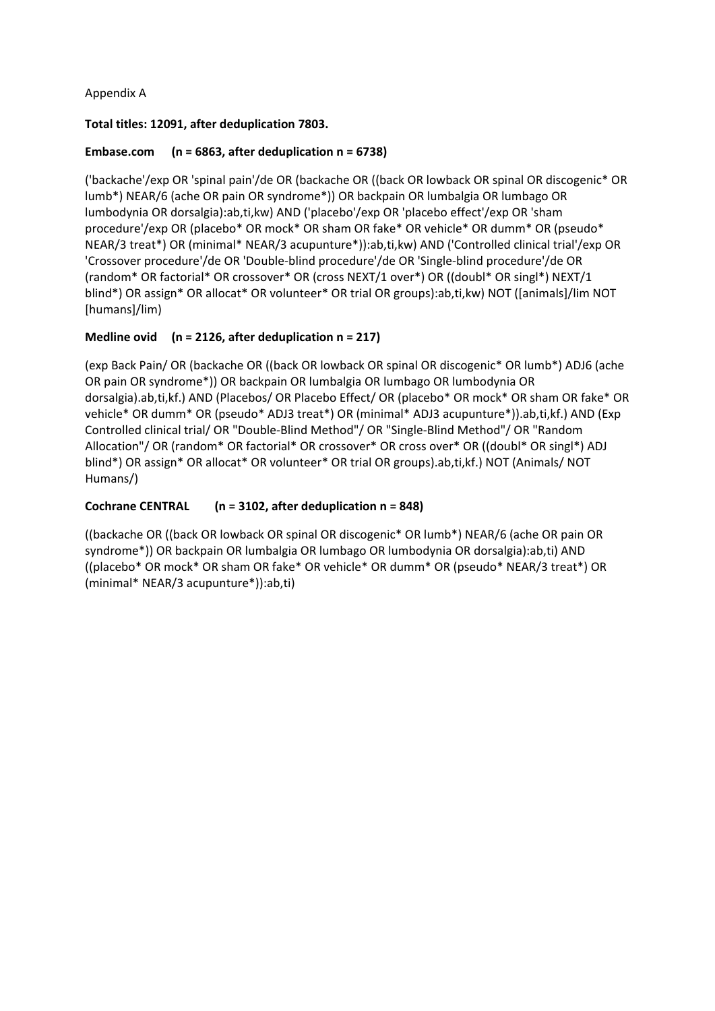### Appendix A

#### **Total titles: 12091, after deduplication 7803.**

#### **Embase.com (n = 6863, after deduplication n = 6738)**

('backache'/exp OR 'spinal pain'/de OR (backache OR ((back OR lowback OR spinal OR discogenic\* OR lumb\*) NEAR/6 (ache OR pain OR syndrome\*)) OR backpain OR lumbalgia OR lumbago OR lumbodynia OR dorsalgia):ab,ti,kw) AND ('placebo'/exp OR 'placebo effect'/exp OR 'sham procedure'/exp OR (placebo\* OR mock\* OR sham OR fake\* OR vehicle\* OR dumm\* OR (pseudo\* NEAR/3 treat\*) OR (minimal\* NEAR/3 acupunture\*)):ab,ti,kw) AND ('Controlled clinical trial'/exp OR 'Crossover procedure'/de OR 'Double-blind procedure'/de OR 'Single-blind procedure'/de OR (random\* OR factorial\* OR crossover\* OR (cross NEXT/1 over\*) OR ((doubl\* OR singl\*) NEXT/1 blind\*) OR assign\* OR allocat\* OR volunteer\* OR trial OR groups):ab,ti,kw) NOT ([animals]/lim NOT [humans]/lim)

#### **Medline ovid (n = 2126, after deduplication n = 217)**

(exp Back Pain/ OR (backache OR ((back OR lowback OR spinal OR discogenic\* OR lumb\*) ADJ6 (ache OR pain OR syndrome\*)) OR backpain OR lumbalgia OR lumbago OR lumbodynia OR dorsalgia).ab,ti,kf.) AND (Placebos/ OR Placebo Effect/ OR (placebo\* OR mock\* OR sham OR fake\* OR vehicle\* OR dumm\* OR (pseudo\* ADJ3 treat\*) OR (minimal\* ADJ3 acupunture\*)).ab,ti,kf.) AND (Exp Controlled clinical trial/ OR "Double-Blind Method"/ OR "Single-Blind Method"/ OR "Random Allocation"/ OR (random\* OR factorial\* OR crossover\* OR cross over\* OR ((doubl\* OR singl\*) ADJ blind\*) OR assign\* OR allocat\* OR volunteer\* OR trial OR groups).ab,ti,kf.) NOT (Animals/ NOT Humans/)

#### **Cochrane CENTRAL (n = 3102, after deduplication n = 848)**

((backache OR ((back OR lowback OR spinal OR discogenic\* OR lumb\*) NEAR/6 (ache OR pain OR syndrome\*)) OR backpain OR lumbalgia OR lumbago OR lumbodynia OR dorsalgia):ab,ti) AND ((placebo\* OR mock\* OR sham OR fake\* OR vehicle\* OR dumm\* OR (pseudo\* NEAR/3 treat\*) OR (minimal\* NEAR/3 acupunture\*)):ab,ti)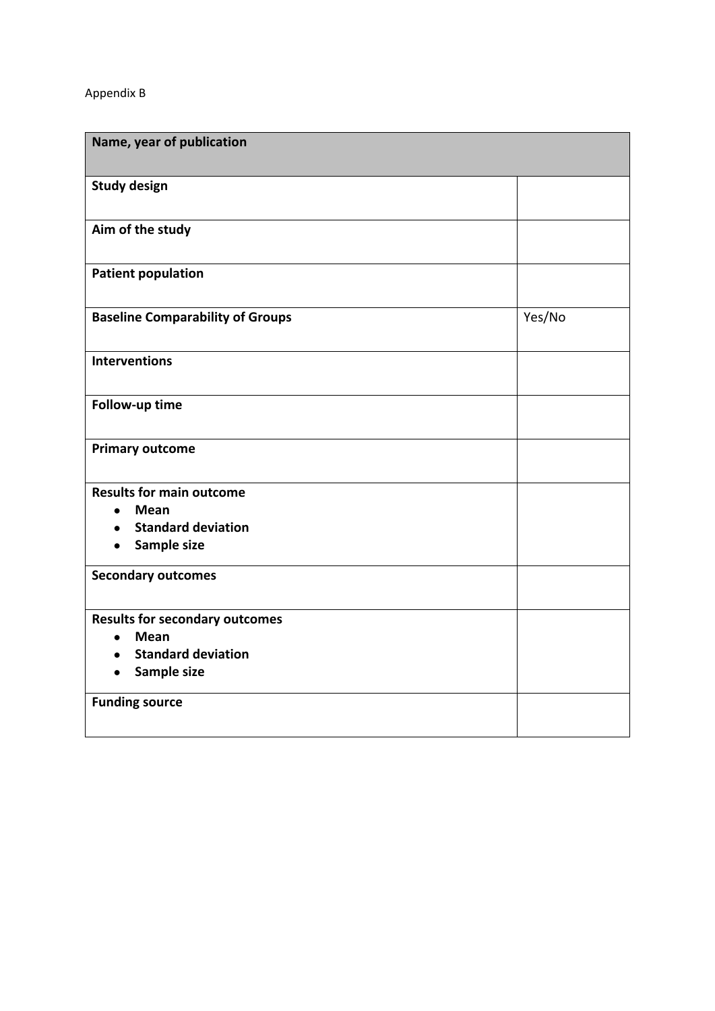## Appendix B

| Name, year of publication                             |        |
|-------------------------------------------------------|--------|
| <b>Study design</b>                                   |        |
| Aim of the study                                      |        |
| <b>Patient population</b>                             |        |
| <b>Baseline Comparability of Groups</b>               | Yes/No |
| <b>Interventions</b>                                  |        |
| Follow-up time                                        |        |
| <b>Primary outcome</b>                                |        |
| <b>Results for main outcome</b>                       |        |
| <b>Mean</b><br>$\bullet$                              |        |
| <b>Standard deviation</b><br>Sample size<br>$\bullet$ |        |
| <b>Secondary outcomes</b>                             |        |
| <b>Results for secondary outcomes</b>                 |        |
| <b>Mean</b><br>$\bullet$                              |        |
| <b>Standard deviation</b>                             |        |
| Sample size                                           |        |
| <b>Funding source</b>                                 |        |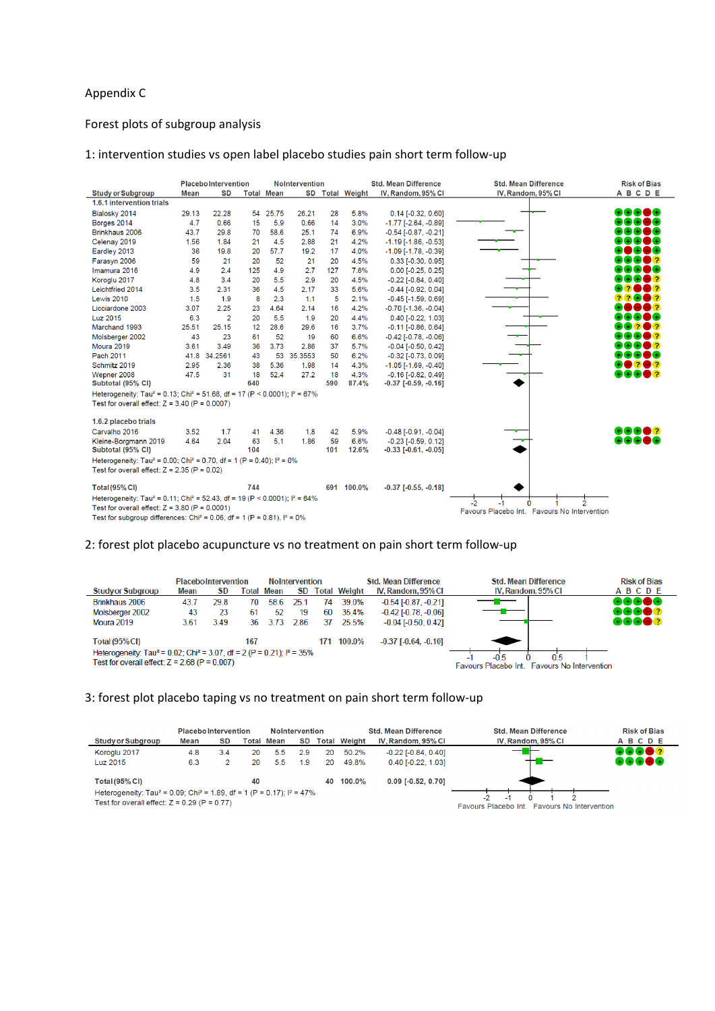### Appendix C

### Forest plots of subgroup analysis

### 1: intervention studies vs open label placebo studies pain short term follow-up

|                                                                                                              |             |                | <b>Placebo Intervention</b><br><b>NoIntervention</b> |                   |         |           |                 | <b>Std. Mean Difference</b>                                | <b>Std. Mean Difference</b>                  | <b>Risk of Bias</b> |
|--------------------------------------------------------------------------------------------------------------|-------------|----------------|------------------------------------------------------|-------------------|---------|-----------|-----------------|------------------------------------------------------------|----------------------------------------------|---------------------|
| <b>Study or Subgroup</b>                                                                                     | <b>Mean</b> | <b>SD</b>      |                                                      | <b>Total Mean</b> |         |           | SD Total Weight | IV, Random, 95% CI                                         | IV, Random, 95% CI                           | <b>ABCDE</b>        |
| 1.6.1 intervention trials                                                                                    |             |                |                                                      |                   |         |           |                 |                                                            |                                              |                     |
| Bialosky 2014                                                                                                | 29.13       | 22.28          | 54                                                   | 25.75             | 26.21   | 28        | 5.8%            | $0.14$ [-0.32, 0.60]                                       |                                              | 88888               |
| Borges 2014                                                                                                  | 4.7         | 0.66           | 15                                                   | 5.9               | 0.66    | 14        | 3.0%            | $-1.77$ [ $-2.64$ , $-0.89$ ]                              |                                              | $+1+1+1$            |
| Brinkhaus 2006                                                                                               | 43.7        | 29.8           | 70                                                   | 58.6              | 25.1    | 74        | 6.9%            | $-0.54$ [ $-0.87, -0.21$ ]                                 |                                              |                     |
| Celenay 2019                                                                                                 | 1.56        | 1.84           | 21                                                   | 4.5               | 2.88    | 21        | 4.2%            | $-1.19$ [ $-1.86$ , $-0.53$ ]                              |                                              |                     |
| Eardley 2013                                                                                                 | 36          | 19.8           | 20                                                   | 57.7              | 19.2    | 17        | 4.0%            | $-1.09$ [ $-1.78$ , $-0.39$ ]                              |                                              |                     |
| Farasyn 2006                                                                                                 | 59          | 21             | 20                                                   | 52                | 21      | 20        | 4.5%            | $0.33$ [-0.30, 0.95]                                       |                                              |                     |
| Imamura 2016                                                                                                 | 4.9         | 2.4            | 125                                                  | 4.9               | 2.7     | 127       | 7.6%            | $0.00$ [-0.25, 0.25]                                       |                                              |                     |
| Koroglu 2017                                                                                                 | 4.8         | 3.4            | 20                                                   | 5.5               | 2.9     | 20        | 4.5%            | $-0.22$ [ $-0.84$ , $0.40$ ]                               |                                              |                     |
| Leichtfried 2014                                                                                             | 3.5         | 2.31           | 36                                                   | 4.5               | 2.17    | 33        | 5.6%            | $-0.44$ $[-0.92, 0.04]$                                    |                                              |                     |
| Lewis 2010                                                                                                   | 1.5         | 1.9            | 8                                                    | 2.3               | 1.1     | 5         | 2.1%            | $-0.45$ [ $-1.59, 0.69$ ]                                  |                                              |                     |
| Licciardone 2003                                                                                             | 3.07        | 2.25           | 23                                                   | 4.64              | 2.14    | 16        | 4.2%            | $-0.70$ [ $-1.36$ , $-0.04$ ]                              |                                              |                     |
| Luz 2015                                                                                                     | 6.3         | $\overline{2}$ | 20                                                   | 5.5               | 1.9     | 20        | 4.4%            | 0.40 [-0.22, 1.03]                                         |                                              | $+$ 8 $\pm$         |
| Marchand 1993                                                                                                | 25.51       | 25.15          | 12                                                   | 28.6              | 29.6    | 16        | 3.7%            | $-0.11$ $[-0.86, 0.64]$                                    |                                              | 202                 |
| Molsberger 2002                                                                                              | 43          | 23             | 61                                                   | 52                | 19      | 60        | 6.6%            | $-0.42$ [ $-0.78$ . $-0.06$ ]                              |                                              | $+$ $ 2$            |
| Moura 2019                                                                                                   | 3.61        | 3.49           | 36                                                   | 3.73              | 2.86    | 37        | 5.7%            | $-0.04$ [ $-0.50$ , $0.42$ ]                               |                                              | $+$ $\bullet$ ?     |
| Pach 2011                                                                                                    |             | 41.8 34.2561   | 43                                                   | 53                | 35.3553 | 50        | 6.2%            | $-0.32$ [ $-0.73$ , $0.09$ ]                               |                                              | $+$ $ +$            |
| Schmitz 2019                                                                                                 | 2.95        | 2.36           | 38                                                   | 5.36              | 1.98    | 14        | 4.3%            | $-1.05$ [ $-1.69$ . $-0.40$ ]                              |                                              | 202                 |
| Wepner 2008                                                                                                  | 47.5        | 31             | 18                                                   | 52.4              | 27.2    | 18        | 4.3%            | $-0.16$ [ $-0.82$ , $0.49$ ]                               |                                              | 800 <b>8</b> 2      |
| Subtotal (95% CI)                                                                                            |             |                | 640                                                  |                   |         | 590       | 87.4%           | $-0.37$ [ $-0.59, -0.16$ ]                                 |                                              |                     |
| Heterogeneity: Tau <sup>2</sup> = 0.13; Chi <sup>2</sup> = 51.68, df = 17 (P < 0.0001); l <sup>2</sup> = 67% |             |                |                                                      |                   |         |           |                 |                                                            |                                              |                     |
| Test for overall effect: $Z = 3.40$ (P = 0.0007)                                                             |             |                |                                                      |                   |         |           |                 |                                                            |                                              |                     |
| 1.6.2 placebo trials                                                                                         |             |                |                                                      |                   |         |           |                 |                                                            |                                              |                     |
|                                                                                                              |             |                |                                                      |                   |         |           |                 |                                                            |                                              | 8868?               |
| Carvalho 2016                                                                                                | 3.52        | 1.7            | 41                                                   | 4.36              | 1.8     | 42        | 5.9%            | $-0.48$ [ $-0.91, -0.04$ ]                                 |                                              |                     |
| Kleine-Borgmann 2019<br>Subtotal (95% CI)                                                                    | 4.64        | 2.04           | 63<br>104                                            | 5.1               | 1.86    | 59<br>101 | 6.6%<br>12.6%   | $-0.23$ [ $-0.59$ , $0.12$ ]<br>$-0.33$ [ $-0.61, -0.05$ ] |                                              | eeco                |
| Heterogeneity: Tau <sup>2</sup> = 0.00; Chi <sup>2</sup> = 0.70, df = 1 (P = 0.40); $I^2$ = 0%               |             |                |                                                      |                   |         |           |                 |                                                            |                                              |                     |
| Test for overall effect: $Z = 2.35$ (P = 0.02)                                                               |             |                |                                                      |                   |         |           |                 |                                                            |                                              |                     |
| <b>Total (95% CI)</b>                                                                                        |             |                | 744                                                  |                   |         |           | 691 100.0%      | $-0.37$ [ $-0.55$ , $-0.18$ ]                              |                                              |                     |
| Heterogeneity: Tau <sup>2</sup> = 0.11; Chi <sup>2</sup> = 52.43, df = 19 (P < 0.0001); l <sup>2</sup> = 64% |             |                |                                                      |                   |         |           |                 |                                                            |                                              |                     |
| Test for overall effect: $Z = 3.80$ (P = 0.0001)                                                             |             |                |                                                      |                   |         |           |                 |                                                            | -2                                           |                     |
| Test for subgroup differences: Chi <sup>2</sup> = 0.06, df = 1 (P = 0.81), $I^2 = 0\%$                       |             |                |                                                      |                   |         |           |                 |                                                            | Favours Placebo Int. Favours No Intervention |                     |

#### 2: forest plot placebo acupuncture vs no treatment on pain short term follow-up

|                                                                                                                                                             |      | <b>PlaceboIntervention</b> |     | <b>NoIntervention</b> |      |     |                     | <b>Std. Mean Difference</b>   | <b>Std. Mean Difference</b>                                                   | <b>Risk of Bias</b> |
|-------------------------------------------------------------------------------------------------------------------------------------------------------------|------|----------------------------|-----|-----------------------|------|-----|---------------------|-------------------------------|-------------------------------------------------------------------------------|---------------------|
| <b>Study or Subgroup</b>                                                                                                                                    | Mean | SD.                        |     | Total Mean            | SD.  |     | <b>Total Weight</b> | IV, Random, 95% CI            | IV. Random, 95% CI                                                            | ABCDE               |
| Brinkhaus 2006                                                                                                                                              | 43.7 | 29.8                       | 70. | 58.6                  | 25.  | 74  | 39.0%               | $-0.54$ [ $-0.87, -0.21$ ]    |                                                                               | 88888               |
| Molsberger 2002                                                                                                                                             | 43   | 23                         | 61  | 52                    | 19   | 60  | 35.4%               | $-0.42$ [ $-0.78$ , $-0.06$ ] |                                                                               | 88682               |
| Moura 2019                                                                                                                                                  | 3.61 | 3.49                       | 36. | 3.73                  | 2.86 | 37  | 25.5%               | $-0.04$ [ $-0.50$ , $0.42$ ]  |                                                                               | 88682               |
| <b>Total (95% CI)</b>                                                                                                                                       |      |                            | 167 |                       |      | 171 | 100.0%              | $-0.37$ [ $-0.64$ , $-0.10$ ] |                                                                               |                     |
| Heterogeneity: Tau <sup>2</sup> = 0.02; Chi <sup>2</sup> = 3.07, df = 2 (P = 0.21); l <sup>2</sup> = 35%<br>Test for overall effect: $Z = 2.68$ (P = 0.007) |      |                            |     |                       |      |     |                     |                               | 0.5<br>$-0.5$<br><b>Favours No Intervention</b><br><b>Eavours Placebo Int</b> |                     |

#### 3: forest plot placebo taping vs no treatment on pain short term follow-up

|                                                                                                                                                    | <b>Placebo Intervention</b> |           |    |                   | <b>NoIntervention</b> |    |                     | <b>Std. Mean Difference</b>  | <b>Std. Mean Difference</b>                            | <b>Risk of Bias</b> |
|----------------------------------------------------------------------------------------------------------------------------------------------------|-----------------------------|-----------|----|-------------------|-----------------------|----|---------------------|------------------------------|--------------------------------------------------------|---------------------|
| Study or Subgroup                                                                                                                                  | Mean                        | <b>SD</b> |    | <b>Total Mean</b> | SD                    |    | <b>Total Weight</b> | IV. Random, 95% CI           | IV. Random, 95% CI                                     | <b>ABCDE</b>        |
| Koroglu 2017                                                                                                                                       | 4.8                         | 3.4       | 20 | 5.5               | 29                    | 20 | 50.2%               | $-0.22$ [ $-0.84$ , $0.40$ ] |                                                        | RAAO?               |
| Luz 2015                                                                                                                                           | 6.3                         |           | 20 | 5.5               | 19                    | 20 | 49.8%               | $0.40$ [-0.22, 1.03]         |                                                        | 88688               |
| Total $(95\%$ CI)                                                                                                                                  |                             |           | 40 |                   |                       |    | 40 100.0%           | $0.09$ [-0.52, 0.70]         |                                                        |                     |
| Heterogeneity: Tau <sup>2</sup> = 0.09; Chi <sup>2</sup> = 1.89, df = 1 (P = 0.17); $I^2 = 47\%$<br>Test for overall effect: $Z = 0.29$ (P = 0.77) |                             |           |    |                   |                       |    |                     |                              | $\cdot$<br>Favours Placebo Int Favours No Intervention |                     |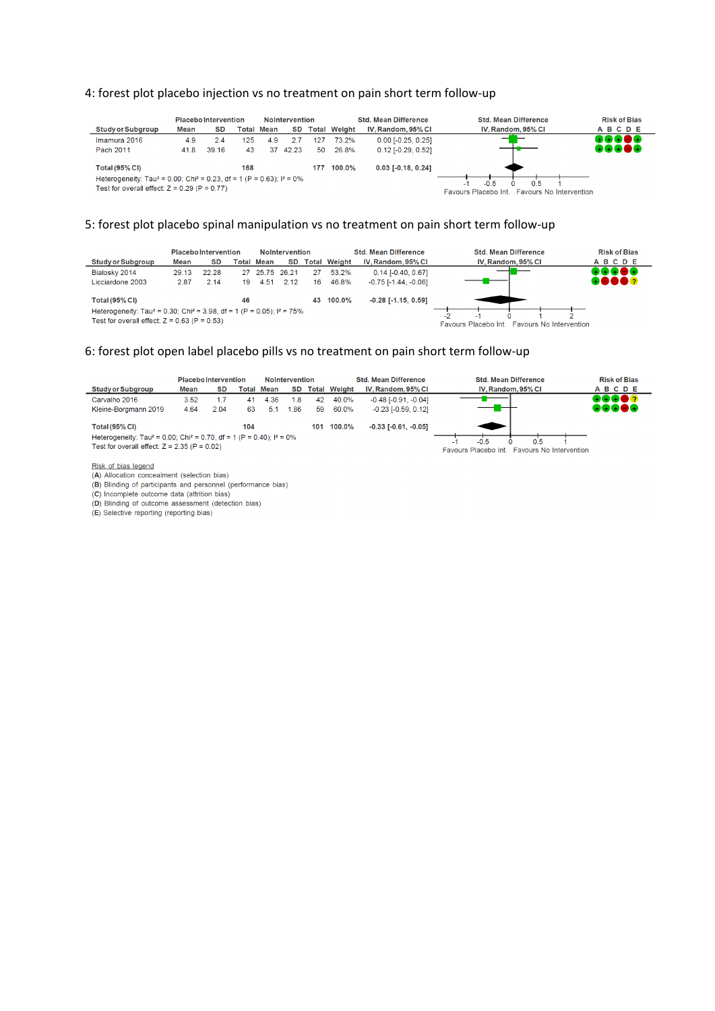#### 4: forest plot placebo injection vs no treatment on pain short term follow-up

|                                                                                                                                                                           |      | <b>Placebo Intervention</b> |     | <b>NoIntervention</b>   |       |     |                     | <b>Std. Mean Difference</b> | <b>Std. Mean Difference</b>                                            | <b>Risk of Bias</b> |
|---------------------------------------------------------------------------------------------------------------------------------------------------------------------------|------|-----------------------------|-----|-------------------------|-------|-----|---------------------|-----------------------------|------------------------------------------------------------------------|---------------------|
| <b>Study or Subgroup</b>                                                                                                                                                  | Mean | SD                          |     | SD<br><b>Total Mean</b> |       |     | <b>Total Weight</b> | IV. Random, 95% CI          | IV. Random, 95% CI                                                     | <b>ABCDE</b>        |
| Imamura 2016                                                                                                                                                              | 4.9  | 2.4                         | 25  | 4.9                     |       | 127 | 73.2%               | $0.00$ [-0.25, 0.25]        |                                                                        | ROGOG               |
| Pach 2011                                                                                                                                                                 | 41.8 | 39.16                       | 43  | 37                      | 42.23 | 50  | 26.8%               | $0.12$ [-0.29, 0.52]        |                                                                        | 88888               |
| <b>Total (95% CI)</b><br>Heterogeneity: Tau <sup>2</sup> = 0.00; Chi <sup>2</sup> = 0.23, df = 1 (P = 0.63); $1^2$ = 0%<br>Test for overall effect: $Z = 0.29$ (P = 0.77) |      |                             | 168 |                         |       | 177 | $100.0\%$           | $0.03$ [-0.18, 0.24]        | $-0.5$<br>05<br>. .<br>Favours No Intervention<br>Favours Placebo Int. |                     |

#### 5: forest plot placebo spinal manipulation vs no treatment on pain short term follow-up

|                                                                                                                                                   |       | <b>Placebo Intervention</b> |    |                   | <b>NoIntervention</b> |    |                     | <b>Std. Mean Difference</b>   | <b>Std. Mean Difference</b>                     | <b>Risk of Bias</b> |
|---------------------------------------------------------------------------------------------------------------------------------------------------|-------|-----------------------------|----|-------------------|-----------------------|----|---------------------|-------------------------------|-------------------------------------------------|---------------------|
| <b>Study or Subgroup</b>                                                                                                                          | Mean  | SD                          |    | <b>Total Mean</b> | SD                    |    | <b>Total Weight</b> | IV. Random, 95% CI            | IV. Random, 95% CI                              | ABCDE               |
| Bialosky 2014                                                                                                                                     | 29.13 | 22.28                       |    | 27 25.75 26.21    |                       | 27 | 53.2%               | $0.14$ [-0.40, 0.67]          |                                                 | ROAGA               |
| Licciardone 2003                                                                                                                                  | 2.87  | 2.14                        | 19 | 4.51              | 2.12                  | 16 | 46.8%               | $-0.75$ [ $-1.44$ . $-0.06$ ] |                                                 | 88888               |
| <b>Total (95% CI)</b>                                                                                                                             |       |                             | 46 |                   |                       | 43 | $100.0\%$           | $-0.28$ [ $-1.15$ , $0.59$ ]  |                                                 |                     |
| Heterogeneity: Tau <sup>2</sup> = 0.30; Chi <sup>2</sup> = 3.98, df = 1 (P = 0.05); $1^2$ = 75%<br>Test for overall effect: $Z = 0.63$ (P = 0.53) |       |                             |    |                   |                       |    |                     |                               | Favours No Intervention<br>Favours Placebo Int. |                     |

#### 6: forest plot open label placebo pills vs no treatment on pain short term follow-up



Risk of bias legend

(A) Allocation concealment (selection bias)

(B) Blinding of participants and personnel (performance bias)

(C) Incomplete outcome data (attrition bias)<br>(D) Blinding of outcome assessment (detection bias)

(E) Selective reporting (reporting bias)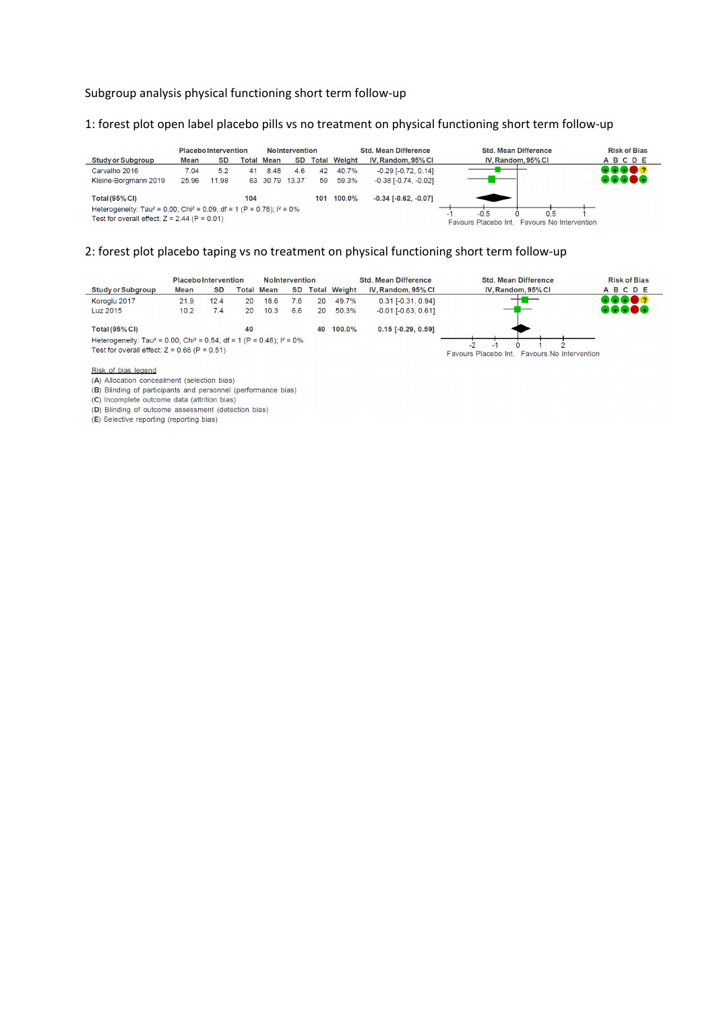#### Subgroup analysis physical functioning short term follow-up

#### 1: forest plot open label placebo pills vs no treatment on physical functioning short term follow-up

|                                                                                                                                                  |       | <b>Placebo Intervention</b> |       |             | <b>NoIntervention</b> |     |                     | <b>Std. Mean Difference</b> | <b>Std. Mean Difference</b>                                             | <b>Risk of Bias</b> |
|--------------------------------------------------------------------------------------------------------------------------------------------------|-------|-----------------------------|-------|-------------|-----------------------|-----|---------------------|-----------------------------|-------------------------------------------------------------------------|---------------------|
| <b>Study or Subgroup</b>                                                                                                                         | Mean  | SD                          | Total | Mean        | <b>SD</b>             |     | <b>Total Weight</b> | IV, Random, 95% CI          | IV, Random, 95% CI                                                      | <b>ABCDE</b>        |
| Carvalho 2016                                                                                                                                    | 7.04  | 5.2                         | 41    | 8.48        | 4.6                   | 42  | 40.7%               | $-0.29$ $[-0.72, 0.14]$     |                                                                         | 88882               |
| Kleine-Borgmann 2019                                                                                                                             | 25.96 | 11.98                       | 63    | 30.79 13.37 |                       | 59  | 59.3%               | $-0.38$ $[-0.74, -0.02]$    |                                                                         | 00000               |
| <b>Total (95% CI)</b>                                                                                                                            |       |                             | 104   |             |                       | 101 | 100.0%              | $-0.34$ $[-0.62, -0.07]$    |                                                                         |                     |
| Heterogeneity: Tau <sup>2</sup> = 0.00; Chi <sup>2</sup> = 0.09, df = 1 (P = 0.76); $I^2$ = 0%<br>Test for overall effect: $Z = 2.44$ (P = 0.01) |       |                             |       |             |                       |     |                     |                             | $-0.5$<br>0.5<br>Favours Placebo Int.<br><b>Favours No Intervention</b> |                     |

#### 2: forest plot placebo taping vs no treatment on physical functioning short term follow-up



#### Risk of bias legend

(A) Allocation concealment (selection bias)

(B) Blinding of participants and personnel (performance bias)<br>(C) Incomplete outcome data (attrition bias)

(D) Blinding of outcome assessment (detection bias)

(E) Selective reporting (reporting bias)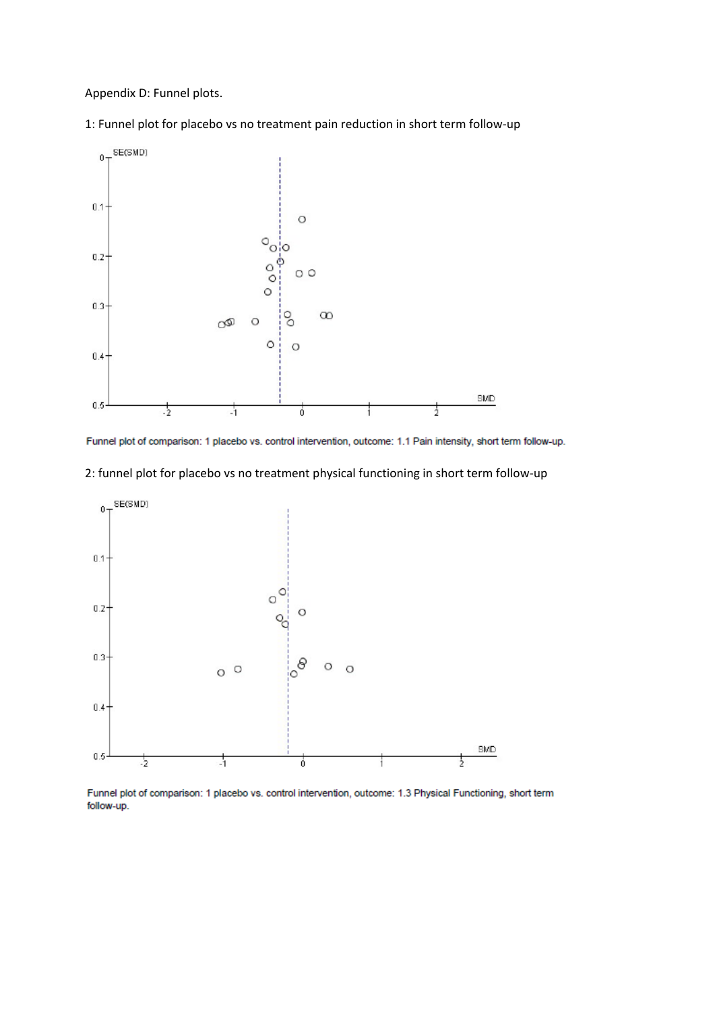Appendix D: Funnel plots.

1: Funnel plot for placebo vs no treatment pain reduction in short term follow-up



Funnel plot of comparison: 1 placebo vs. control intervention, outcome: 1.1 Pain intensity, short term follow-up.

2: funnel plot for placebo vs no treatment physical functioning in short term follow-up



Funnel plot of comparison: 1 placebo vs. control intervention, outcome: 1.3 Physical Functioning, short term follow-up.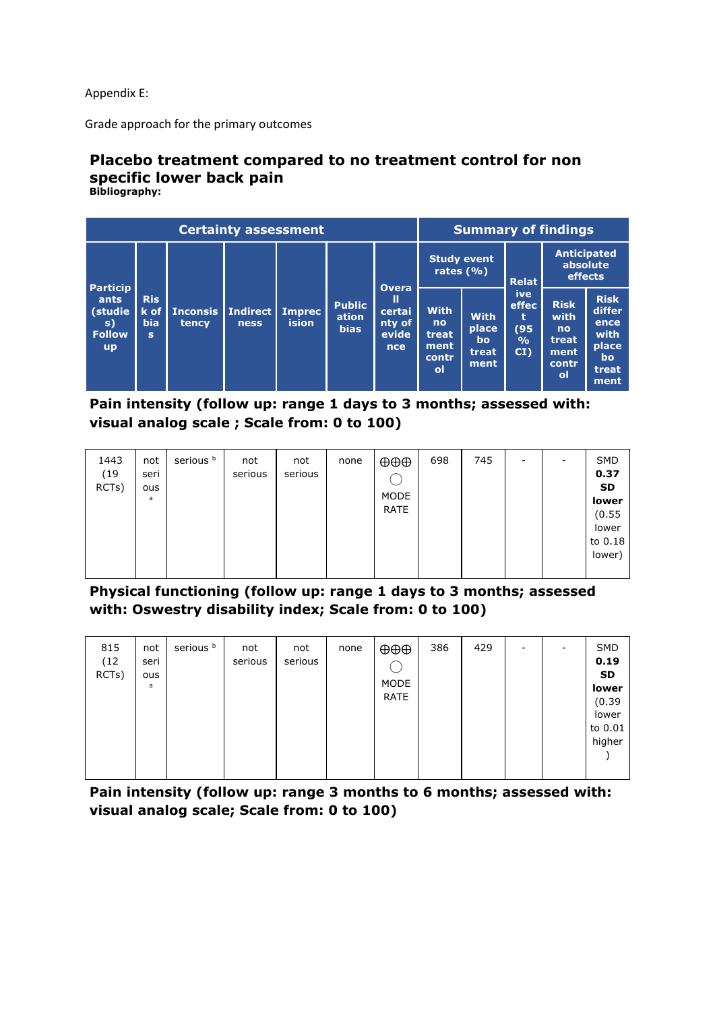Appendix E:

Grade approach for the primary outcomes

#### **Placebo treatment compared to no treatment control for non specific lower back pain Bibliography:**

|                                                        |                               |                            | <b>Certainty assessment</b>    |              | <b>Summary of findings</b>            |                                              |                                                           |                                               |                                                             |                                                            |                                                                              |
|--------------------------------------------------------|-------------------------------|----------------------------|--------------------------------|--------------|---------------------------------------|----------------------------------------------|-----------------------------------------------------------|-----------------------------------------------|-------------------------------------------------------------|------------------------------------------------------------|------------------------------------------------------------------------------|
| <b>Particip</b>                                        |                               |                            |                                |              |                                       | <b>Overa</b>                                 | <b>Study event</b><br>rates $(\% )$                       |                                               | <b>Relat</b>                                                | <b>Anticipated</b><br>absolute<br>effects                  |                                                                              |
| ants<br>(studie<br>s)<br><b>Follow</b><br>$\mathbf{u}$ | <b>Ris</b><br><b>bia</b><br>s | $k$ of   Inconsis<br>tency | Indirect Imprec<br><b>ness</b> | <b>ision</b> | <b>Public</b><br>ation<br><b>bias</b> | Ш<br>certai<br>nty of<br>evide<br><b>nce</b> | <b>With</b><br>no<br>treat,<br>ment<br>contr<br><b>ol</b> | <b>With</b><br>place<br>'bo'<br>treat<br>ment | <b>ive</b><br>effec<br>t<br>(95)<br>$\frac{0}{0}$<br>$CI$ ) | <b>Risk</b><br>with<br>no<br>treat.<br>ment<br>contr<br>οl | <b>Risk</b><br>differ<br>ence<br>with<br>place<br><b>bo</b><br>treat<br>ment |

**Pain intensity (follow up: range 1 days to 3 months; assessed with: visual analog scale ; Scale from: 0 to 100)**

| 1443<br>(19)<br>RCTs) | not<br>seri<br>ous<br>a | serious <sup>b</sup> | not<br>serious | not<br>serious | none | $\oplus \oplus \oplus$<br>MODE<br>RATE | 698 | 745 | - |  | SMD<br>0.37<br><b>SD</b><br>lower<br>(0.55)<br>lower<br>to 0.18<br>lower) |
|-----------------------|-------------------------|----------------------|----------------|----------------|------|----------------------------------------|-----|-----|---|--|---------------------------------------------------------------------------|
|-----------------------|-------------------------|----------------------|----------------|----------------|------|----------------------------------------|-----|-----|---|--|---------------------------------------------------------------------------|

**Physical functioning (follow up: range 1 days to 3 months; assessed with: Oswestry disability index; Scale from: 0 to 100)**

**Pain intensity (follow up: range 3 months to 6 months; assessed with: visual analog scale; Scale from: 0 to 100)**